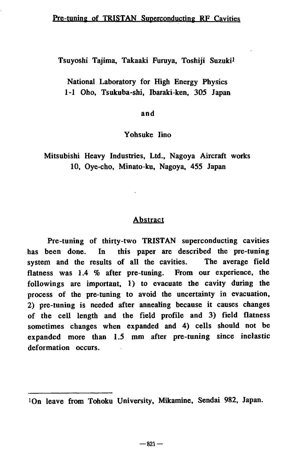Tsuyoshi Tajima, Takaaki Furuya, Toshiji Suzuki<sup>1</sup>

National Laboratory for High Energy Physics 1-1 Oho, Tsukuba-shi, Ibaraki-ken, 305 Japan

and

Yohsuke Iino

Mitsubishi Heavy Industries, Ltd., Nagoya Aircraft works 10, Oye-cho, Minato-ku, Nagoya, 455 Japan

## Abstract

Pre-tuning of thirty-two TRISTAN superconducting cavities has been done. In this paper are described the pre-tuning system and the results of all the cavities. The average field flatness was 1.4 % after pre-tuning. From our experience, the followings are important, 1) to evacuate the cavity during the process of the pre-tuning to avoid the uncertainty in evacuation, 2) pre-tuning is needed after annealing because it causes changes of the cell length and the field profile and 3) field flatness sometimes changes when expanded and 4) cells should not be expanded more than 1.5 mm after pre-tuning since inelastic deformation occurs.

<sup>!</sup>Qn leave from Tohoku University, Mikamine, Sendai 982, Japan.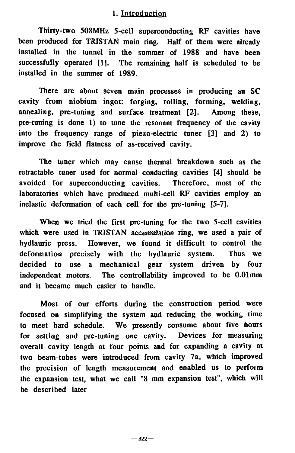# 1. Introduction

Thirty-two 508MHz 5-cell superconducting RF cavities have been produced for TRISTAN main ring. Half of them were already installed in the tunnel in the summer of 1988 and have been successfully operated [1]. The remaining half is scheduled to be installed in the summer of 1989.

There are about seven main processes in producing an SC cavity from niobium ingot: forging, rolling, forming, welding, annealing, pre-tuning and surface treatment [2]. Among these, pre-tuning is done 1) to tune the resonant frequency of the cavity into the frequency range of piezo-electric tuner [3] and 2) to improve the field flatness of as-received cavity.

The tuner which may cause thermal breakdown such as the retractable tuner used for normal conducting cavities [4] should be avoided for superconducting cavities. Therefore, most of the laboratories which have produced multi-cell RF cavities employ an inelastic deformation of each cell for the pre-tuning [5-7].

When we tried the first pre-tuning for the two 5-cell cavities which were used in TRISTAN accumulation ring, we used a pair of hydlauric press. However, we found it difficult to control the deformation precisely with the hydlauric system. Thus we decided to use a mechanical gear system driven by four independent motors. The controllability improved to be 0.01mm and it became much easier to handle.

Most of our efforts during the construction period were focused on simplifying the system and reducing the working time to meet hard schedule. We presently consume about five hours for setting and pre-tuning one cavity. Devices for measuring overall cavity length at four points and for expanding a cavity at two beam-tubes were introduced from cavity 7a, which improved the precision of length measurement and enabled us to perform the expansion test, what we call "8 mm expansion test", which will be described later

 $-822-$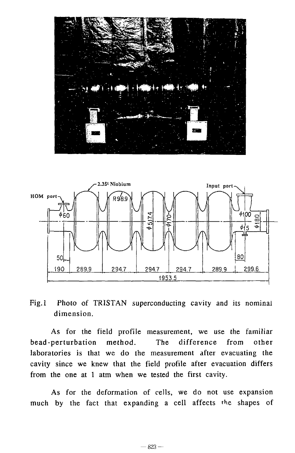



Fig.l Photo of TRISTAN superconducting cavity and its nominal dimension.

As for the field profile measurement, we use the familiar bead-perturbation method. The difference from other laboratories is that we do the measurement after evacuating the cavity since we knew that the field profile after evacuation differs from the one at 1 atm when we tested the first cavity.

As for the deformation of cells, we do not use expansion much by the fact that expanding a cell affects the shapes of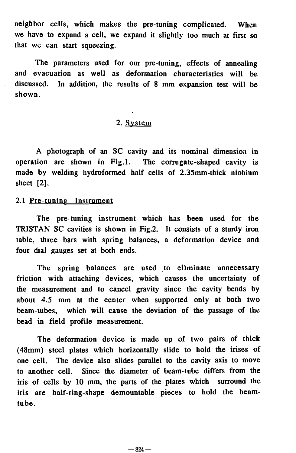neighbor cells, which makes the pre-tuning complicated. When we have to expand a cell, we expand it slightly too much at first so that we can start squeezing.

The parameters used for our pre-tuning, effects of annealing and evacuation as well as deformation characteristics will be discussed. In addition, the results of 8 mm expansion test will be shown.

# 2. System

A photograph of an SC cavity and its nominal dimension in operation are shown in Fig.l. The corrugate-shaped cavity is made by welding hydroformed half cells of 2.35mm-thick niobium sheet [2].

## 2.1 Pre-tuning Instrument

The pre-tuning instrument which has been used for the TRISTAN SC cavities is shown in Fig.2. It consists of a sturdy iron table, three bars with spring balances, a deformation device and four dial gauges set at both ends.

The spring balances are used to eliminate unnecessary friction with attaching devices, which causes the uncertainty of the measurement and to cancel gravity since the cavity bends by about 4.5 mm at the center when supported only at both two beam-tubes, which will cause the deviation of the passage of the bead in field profile measurement.

The deformation device is made up of two pairs of thick (48mm) steel plates which horizontally slide to hold the irises of one cell. The device also slides parallel to the cavity axis to move to another cell. Since the diameter of beam-tube differs from the iris of cells by 10 mm, the parts of the plates which surround the iris are half-ring-shape demountable pieces to hold the beamtube.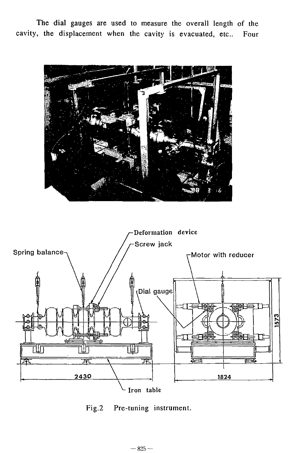The dial gauges are used to measure the overall length of the cavity, the displacement when the cavity is evacuated, etc.. Four





Fig.2 Pre-tuning instrument.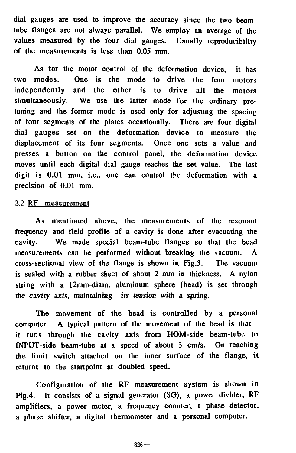dial gauges are used to improve the accuracy since the two beamtube flanges are not always parallel. We employ an average of the values measured by the four dial gauges. Usually reproducibility of the measurements is less than 0.05 mm.

As for the motor control of the deformation device, it has two modes. One is the mode to drive the four motors independently and the other is to drive all the motors simultaneously. We use the latter mode for the ordinary pretuning and the former mode is used only for adjusting the spacing of four segments of the plates occasionally. There are four digital dial gauges set on the deformation device to measure the displacement of its four segments. Once one sets a value and presses a button on the control panel, the deformation device moves until each digital dial gauge reaches the set value. The last digit is 0.01 mm, i.e., one can control the deformation with a precision of 0.01 mm.

#### 2.2 RF measurement

As mentioned above, the measurements of the resonant frequency and field profile of a cavity is done after evacuating the cavity. We made special beam-tube flanges so that the bead measurements can be performed without breaking the vacuum. A cross-sectional view of the flange is shown in Fig.3. The vacuum is sealed with a rubber sheet of about 2 mm in thickness. A nylon string with a 12mm-diain. aluminum sphere (bead) is set through the cavity axis, maintaining its tension with a spring.

The movement of the bead is controlled by a personal computer. A typical pattern of the movement of the bead is that it runs through the cavity axis from HOM-side beam-tube to INPUT-side beam-tube at a speed of about 3 cm/s. On reaching the limit switch attached on the inner surface of the flange, it returns to the startpoint at doubled speed.

Configuration of the RF measurement system is shown in Fig.4. It consists of a signal generator (SG), a power divider, RF amplifiers, a power meter, a frequency counter, a phase detector, a phase shifter, a digital thermometer and a personal computer.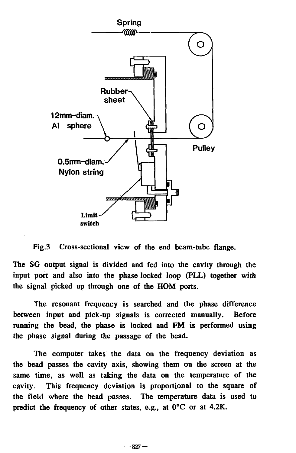

Fig.3 Cross-sectional view of the end beam-tube flange.

The SG output signal is divided and fed into the cavity through the input port and also into the phase-locked loop (PLL) together with the signal picked up through one of die HOM ports.

The resonant frequency is searched and the phase difference between input and pick-up signals is corrected manually. Before running the bead, the phase is locked and FM is performed using the phase signal during the passage of the bead.

The computer takes the data on the frequency deviation as the bead passes the cavity axis, showing them on the screen at the same time, as well as taking the data on the temperature of the cavity. This frequency deviation is proportional to the square of the field where the bead passes. The temperature data is used to predict the frequency of other states, e.g., at 0°C or at 4.2K.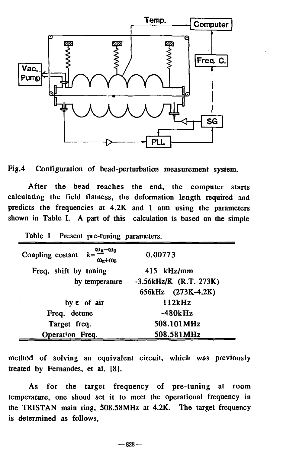



After the bead reaches the end, the computer starts calculating the field flatness, the deformation length required and predicts the frequencies at 4.2K and 1 atm using the parameters shown in Table I. A part of this calculation is based on the simple

| raone i riesent pre-tuning parameters.                                            |                          |  |  |  |
|-----------------------------------------------------------------------------------|--------------------------|--|--|--|
| $k = \frac{\omega_{\pi} - \omega_0}{\omega_{\pi} + \omega_0}$<br>Coupling costant | 0.00773                  |  |  |  |
| Freq. shift by tuning                                                             | 415 kHz/mm               |  |  |  |
| by temperature                                                                    | $-3.56kHz/K$ (R.T.-273K) |  |  |  |
|                                                                                   | 656kHz (273K-4.2K)       |  |  |  |
| by $\epsilon$ of air                                                              | 112kHz                   |  |  |  |
| Freq. detune                                                                      | -480kHz                  |  |  |  |
| Target freq.                                                                      | 508.101MHz               |  |  |  |
| Operation Freq.                                                                   | 508.581MHz               |  |  |  |

Table I Present pre-tuning parameters.

method of solving an equivalent circuit, which was previously treated by Fernandes, et al. [8].

As for the target frequency of pre-tuning at room temperature, one shoud set it to meet the operational frequency in the TRISTAN main ring, 508.58MHz at 4.2K. The target frequency is determined as follows,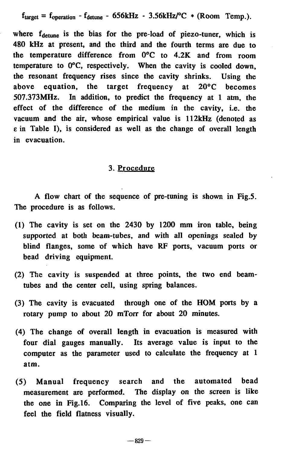$f_{target} = f_{operation} - f_{detune} - 656kHz - 3.56kHz/°C * (Room Temp.).$ 

where  $f_{\text{detune}}$  is the bias for the pre-load of piezo-tuner, which is 480 kHz at present, and the third and the fourth terms are due to the temperature difference from 0°C to 4.2K and from room temperature to 0°C, respectively. When the cavity is cooled down, the resonant frequency rises since the cavity shrinks. Using the above equation, the target frequency at 20°C becomes 507.373MHz. In addition, to predict the frequency at 1 atm, the effect of the difference of the medium in the cavity, i.e. the vacuum and the air, whose empirical value is 112kHz (denoted as e in Table I), is considered as well as the change of overall length in evacuation.

### 3. Procedure

A flow chart of the sequence of pre-tuning is shown in Fig.5. The procedure is as follows.

- (1) The cavity is set on the 2430 by 1200 mm iron table, being supported at both beam-tubes, and with all openings sealed by blind flanges, some of which have RF ports, vacuum ports or bead driving equipment.
- (2) The cavity is suspended at three points, the two end beamtubes and the center cell, using spring balances.
- (3) The cavity is evacuated through one of the HOM ports by a rotary pump to about 20 mTorr for about 20 minutes.
- (4) The change of overall length in evacuation is measured with four dial gauges manually. Its average value is input to the computer as the parameter used to calculate the frequency at 1 atm.
- (5) Manual frequency search and the automated bead measurement are performed. The display on the screen is like the one in Fig.16. Comparing the level of five peaks, one can feel the field flatness visually.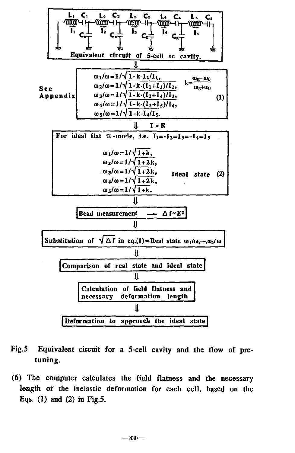

- **Fig.5 Equivalent circuit for a 5-cell cavity and the flow of pretuning.**
- **(6) The computer calculates the field flatness and the necessary length of the inelastic deformation for each cell, based on the Eqs. (1) and (2) in Fig.5.**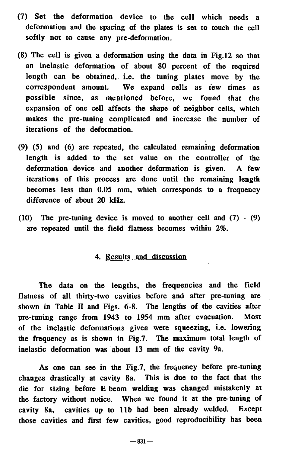- (7) Set the deformation device to the cell which needs a deformation and the spacing of the plates is set to touch the cell softly not to cause any pre-deformation.
- (8) The cell is given a deformation using the data in Fig. 12 so that an inelastic deformation of about 80 percent of the required length can be obtained, i.e. the tuning plates move by the correspondent amount. We expand cells as rew times as possible since, as mentioned before, we found that the expansion of one cell affects the shape of neighbor cells, which makes the pre-tuning complicated and increase the number of iterations of the deformation.
- (9) (5) and (6) are repeated, the calculated remaining deformation length is added to the set value on the controller of the deformation device and another deformation is given. A few iterations of this process are done until the remaining length becomes less than 0.05 mm, which corresponds to a frequency difference of about 20 kHz.
- (10) The pre-tuning device is moved to another cell and  $(7) (9)$ are repeated until the field flatness becomes within 2%.

## 4. Results and discussion

The data on the lengths, the frequencies and the field flatness of all thirty-two cavities before and after pre-tuning are shown in Table II and Figs. 6-8. The lengths of the cavities after pre-tuning range from 1943 to 1954 mm after evacuation. Most of the inelastic deformations given were squeezing, i.e. lowering the frequency as is shown in Fig.7. The maximum total length of inelastic deformation was about 13 mm of the cavity 9a.

As one can see in the Fig.7, the frequency before pre-tuning changes drastically at cavity 8a. This is due to the fact that the die for sizing before E-beam welding was changed mistakenly at the factory without notice. When we found it at the pre-tuning of cavity 8a, cavities up to 11b had been already welded. Except those cavities and first few cavities, good reproducibility has been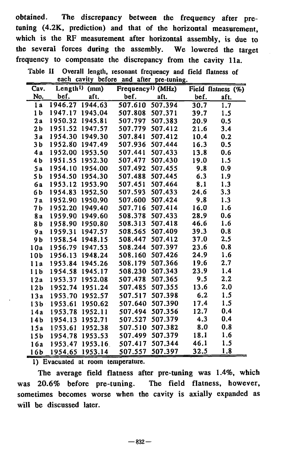obtained. The discrepancy between the frequency after pretuning (4.2K, prediction) and that of the horizontal measurement, which is the RF measurement after horizontal assembly, is due to the several forces during the assembly. We lowered the target frequency to compensate the discrepancy from the cavity 11a.

|                 | eacn                | саvну<br>perore | апо<br>aner                    | pre-tumng. |      |                    |
|-----------------|---------------------|-----------------|--------------------------------|------------|------|--------------------|
| Cav.            | Length <sup>1</sup> | (mm)            | Frequency <sup>1</sup> ) (MHz) |            |      | Field flatness (%) |
| No.             | bef.                | aft.            | bef.                           | aft.       | bef. | aft.               |
| 1 a             | 1946.27             | 1944.63         | 507.610                        | 507.394    | 30.7 | 1.7                |
| 1 <sub>b</sub>  | 1947.17             | 1943.04         | 507.808                        | 507.371    | 39.7 | 1.5                |
| 2a              | 1950.32             | 1945.81         | 507.797                        | 507.383    | 20.9 | 0.5                |
| 2 b             | 1951.52             | 1947.57         | 507.779                        | 507.412    | 21.6 | 3.4                |
| 3a              | 1954.30             | 1949.30         | 507.841                        | 507.412    | 10.4 | 0.2                |
| 3 b             | 1952.80             | 1947.49         | 507.936                        | 507.444    | 16.3 | 0.5                |
| 4 a             |                     | 1952.00 1953.50 | 507.441                        | 507.433    | 13.8 | 0.6                |
| 4 b             | 1951.55             | 1952.30         | 507.477                        | 507.430    | 19.0 | 1.5                |
| 5a              | 1954.10             | 1954.00         | 507.492                        | 507.455    | 9.8  | 0.9                |
| 5 b             | 1954.50             | 1954.30         | 507.488                        | 507.445    | 6.3  | 1.9                |
| бa              | 1953.12             | 1953.90         | 507.451                        | 507.464    | 8.1  | 1.3                |
| 6b              | 1954.83             | 1952.50         | 507.593                        | 507.433    | 24.6 | 3.3                |
| <b>7a</b>       | 1952.90             | 1950.90         | 507.600                        | 507.424    | 9.8  | 1.3                |
| 7 b             | 1952.20             | 1949.40         | 507.716                        | 507.414    | 16.0 | 1.6                |
| 8 a             | 1959.90             | 1949.60         | 508.378                        | 507.433    | 28.9 | 0.6                |
| 8 b             | 1958.90             | 1950.80         | 508.313                        | 507.418    | 46.6 | 1.6                |
| 9 a             | 1959.31             | 1947.57         | 508.565                        | 507.409    | 39.3 | 0.8                |
| 9 b             | 1958.54             | 1948.15         | 508.447                        | 507.412    | 37.0 | 2.5                |
| 10a             | 1956.79             | 1947.53         | 508.244                        | 507.397    | 23.6 | 0.8                |
| 10 <sub>b</sub> | 1956.13             | 1948.24         | 508.160                        | 507.426    | 24.9 | 1.6                |
| 11a             |                     | 1953.84 1945.26 | 508.179                        | 507.366    | 19.6 | 2.7                |
| 11 <sub>b</sub> |                     | 1954.58 1945.17 | 508.230                        | 507.343    | 23.9 | 1.4                |
| 12a             | 1953.37             | 1952.08         | 507.478                        | 507.365    | 9.5  | 2.2                |
| 12 <sub>b</sub> | 1952.74             | 1951.24         | 507.485                        | 507.355    | 13.6 | 2.0                |
| 13a             | 1953.70             | 1952.57         | 507.517                        | 507.398    | 6.2  | 1.5                |
| 13b             | 1953.61             | 1950.62         | 507.640                        | 507.390    | 17.4 | 1.5                |
| 14a             | 1953.78             | 1952.11         | 507.494                        | 507.356    | 12.7 | 0.4                |
| 14 <sub>b</sub> | 1954.13             | 1952.71         | 507.527                        | 507.379    | 4.3  | 0.4                |
| 15a             | 1953.61             | 1952.38         | 507.510                        | 507.382    | 8.0  | 0.8                |
| 15 <sub>b</sub> | 1954.78             | 1953.53         | 507.499                        | 507.379    | 18.1 | 1.6                |
| 16a             | 1953.47             | 1953.16         | 507.417                        | 507.344    | 46.1 | 1.5                |
| 16b             | 1954.65             | 1953.14         | 507.557                        | 507.397    | 32.5 | 1.8                |

Table II Overall length, resonant frequency and field flatness of each cavity before and after pre-tuning,

1) Evacuated at room temperature.

The average field flatness after pre-tuning was 1.4%, which was 20.6% before pre-tuning. The field flatness, however, sometimes becomes worse when the cavity is axially expanded as will be discussed later.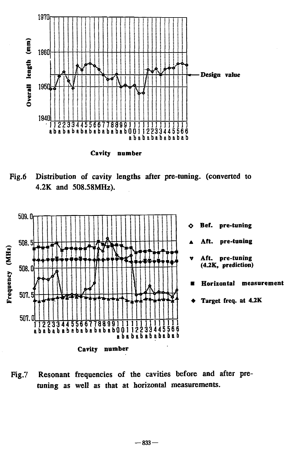

**Cavity number** 

Fig.6 Distribution of cavity lengths after pre-tuning. (converted to 4.2K and 508.58MHz).



Fig.7 Resonant frequencies of the cavities before and after pretuning as well as that at horizontal measurements.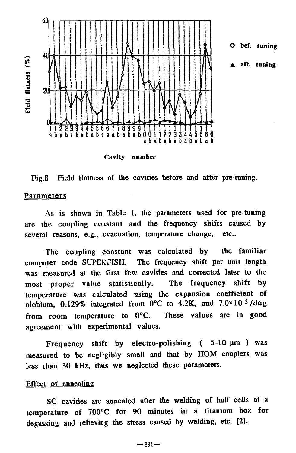

Cavity number

Fig.8 Field flatness of the cavities before and after pre-tuning.

## **Parameters**

As is shown in Table I, the parameters used for pre-tuning are the coupling constant and the frequency shifts caused by several reasons, e.g., evacuation, temperature change, etc..

The coupling constant was calculated by the familiar computer code SUPERFISH. The frequency shift per unit length was measured at the first few cavities and corrected later to the most proper value statistically. The frequency shift by temperature was calculated using the expansion coefficient of niobium, 0.129% integrated from 0°C to 4.2K, and 7.0\*10-3/deg from room temperature to 0°C. These values are in good agreement with experimental values.

Frequency shift by electro-polishing  $(5-10 \mu m)$  was measured to be negligibly small and that by HOM couplers was less than 30 kHz, thus we neglected these parameters.

#### Effect of annealing

SC cavities are annealed after the welding of half cells at a temperature of 700°C for 90 minutes in a titanium box for degassing and relieving the stress caused by welding, etc. [2].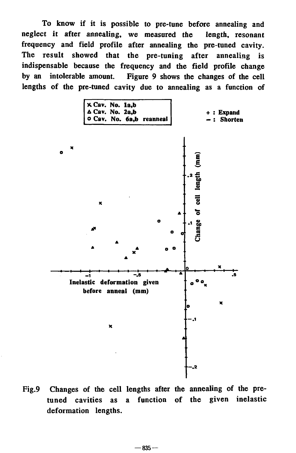**To know if it is possible to pre-tune before annealing and neglect it after annealing, we measured the length, resonant frequency and field profile after annealing the pre-tuned cavity. The result showed that the pre-tuning after annealing is indispensable because the frequency and the field profile change by an intolerable amount. Figure 9 shows the changes of the cell lengths of the pre-tuned cavity due to annealing as a function of** 



**Fig.9 Changes of the cell lengths after the annealing of the pretuned cavities as a function of the given inelastic deformation lengths.**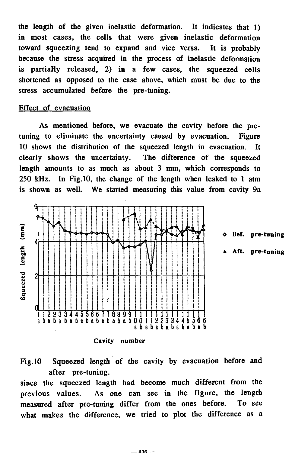the length of the given inelastic deformation. It indicates that 1) in most cases, the cells that were given inelastic deformation toward squeezing tend to expand and vice versa. It is probably because the stress acquired in the process of inelastic deformation is partially released, 2) in a few cases, the squeezed cells shortened as opposed to the case above, which must be due to the stress accumulated before the pre-tuning.

# Effect of evacuation

As mentioned before, we evacuate the cavity before the pretuning to eliminate the uncertainty caused by evacuation. Figure 10 shows the distribution of the squeezed length in evacuation. It clearly shows the uncertainty. The difference of the squeezed length amounts to as much as about 3 mm, which corresponds to 250 kHz. In Fig. 10, the change of the length when leaked to 1 atm is shown as well. We started measuring this value from cavity 9a



Cavity number

# Fig. 10 Squeezed length of the cavity by evacuation before and after pre-tuning.

since the squeezed length had become much different from the previous values. As one can see in the figure, the length measured after pre-tuning differ from the ones before. To see what makes the difference, we tried to plot the difference as a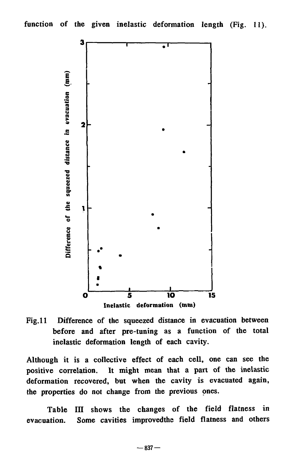

Fig. 11 Difference of the squeezed distance in evacuation between before and after pre-tuning as a function of the total inelastic deformation length of each cavity.

Although it is a collective effect of each cell, one can see the positive correlation. It might mean that a part of the inelastic deformation recovered, but when the cavity is evacuated again, the properties do not change from the previous ones.

Table III shows the changes of the field flatness in evacuation. Some cavities improvedthe field flatness and others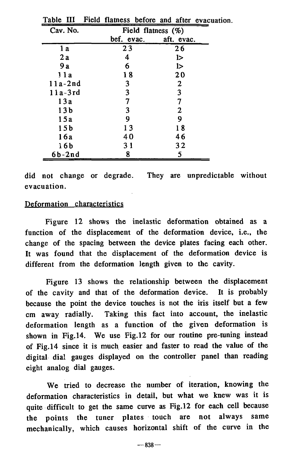| rabie<br>- 111  |                       | rield flamess before and after evacu- |  |  |
|-----------------|-----------------------|---------------------------------------|--|--|
| Cav. No.        | Field flatness $(\%)$ |                                       |  |  |
|                 | bef. evac.            | aft. evac.                            |  |  |
| 1 a             | 23                    | 26                                    |  |  |
| 2 a             | 4                     | l>                                    |  |  |
| 9 a             | 6                     | l>                                    |  |  |
| 1 1 a           | 18                    | 20                                    |  |  |
| $11a-2nd$       | 3                     | $\mathbf{2}$                          |  |  |
| 11a-3rd         | 3                     | 3                                     |  |  |
| 13a             |                       | 7                                     |  |  |
| 13 b            | 3                     | 2                                     |  |  |
| 15a             | 9                     | 9                                     |  |  |
| 15b             | 13                    | 18                                    |  |  |
| 16a             | 40                    | 46                                    |  |  |
| 16 <sub>b</sub> | 31                    | 32                                    |  |  |
| $6b-2nd$        | 8                     | 5                                     |  |  |

Table III Field flatness before and after evacuation.

did not change or degrade. They are unpredictable without evacuation.

## Deformation characteristics

Figure 12 shows the inelastic deformation obtained as a function of the displacement of the deformation device, i.e., the change of the spacing between the device plates facing each other. It was found that the displacement of the deformation device is different from the deformation length given to the cavity.

Figure 13 shows the relationship between the displacement of the cavity and that of the deformation device. It is probably because the point the device touches is not the iris itself but a few cm away radially. Taking this fact into account, the inelastic deformation length as a function of the given deformation is shown in Fig. 14. We use Fig. 12 for our routine pre-tuning instead of Fig.14 since it is much easier and faster to read the value of the digital dial gauges displayed on the controller panel than reading eight analog dial gauges.

We tried to decrease the number of iteration, knowing the deformation characteristics in detail, but what we knew was it is quite difficult to get the same curve as Fig. 12 for each cell because the points the tuner plates touch are not always same mechanically, which causes horizontal shift of the curve in the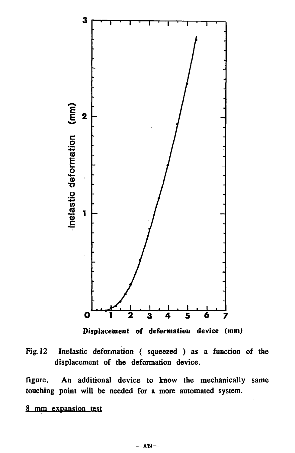

**Displacement of deformation device (mm)** 



**figure. An additional device to know the mechanically same touching point will be needed for a more automated system.** 

# **8 mm expansion test**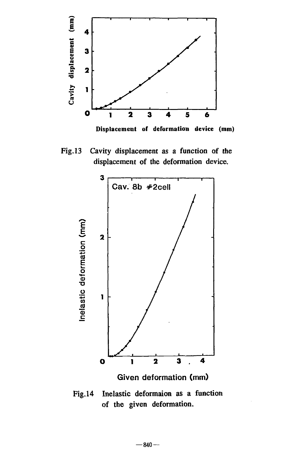

Fig. 13 Cavity displacement as a function of the displacement of the deformation device.



**Given deformation (mm)** 

Fig. 14 Inelastic deformaion as a function of the given deformation.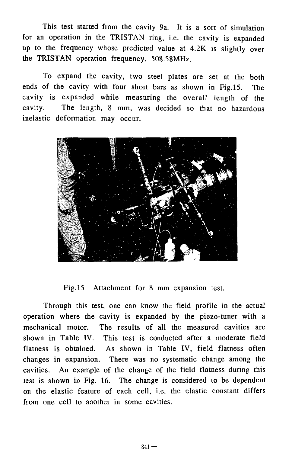This test started from the cavity 9a. It is a sort of simulation for an operation in the TRISTAN ring, i.e. the cavity is expanded up to the frequency whose predicted value at 4.2K is slightly over the TRISTAN operation frequency, 508.58MHz.

To expand the cavity, two steel plates are set at the both ends of the cavity with four short bars as shown in Fig.15. The cavity is expanded while measuring the overall length of the cavity. The length, 8 mm, was decided so that no hazardous inelastic deformation may occur.



Fig. 15 Attachment for 8 mm expansion test.

Through this test, one can know the field profile in the actual operation where the cavity is expanded by the piezo-tuner with a mechanical motor. The results of all the measured cavities are shown in Table IV. This test is conducted after a moderate field flatness is obtained. As shown in Table IV, field flatness often changes in expansion. There was no systematic change among the cavities. An example of the change of the field flatness during this test is shown in Fig. 16. The change is considered to be dependent on the elastic feature of each cell, i.e. the elastic constant differs from one cell to another in some cavities.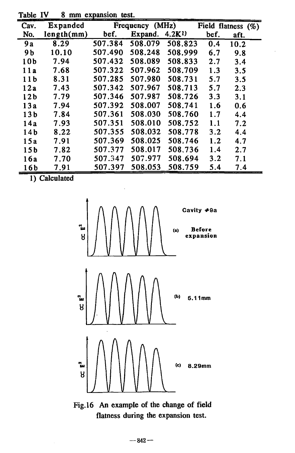| Cav.            | Expanded   |         | Frequency (MHz) |                   |      | Field flatness (%) |
|-----------------|------------|---------|-----------------|-------------------|------|--------------------|
| No.             | length(mm) | bef.    | Expand.         | 4.2 <sub>K1</sub> | bef. | aft.               |
| 9 <sub>a</sub>  | 8.29       | 507.384 | 508.079         | 508.823           | 0.4  | 10.2               |
| 9b              | 10.10      | 507.490 | 508.248         | 508.999           | 6.7  | 9.8                |
| 10b             | 7.94       | 507.432 | 508.089         | 508.833           | 2.7  | 3.4                |
| 11a             | 7.68       | 507.322 | 507.962         | 508.709           | 1.3  | 3.5                |
| 11 <sub>b</sub> | 8.31       | 507.285 | 507.980         | 508.731           | 5.7  | 3.5                |
| 12a             | 7.43       | 507.342 | 507.967         | 508.713           | 5.7  | 2.3                |
| 12 <sub>b</sub> | 7.79       | 507.346 | 507.987         | 508.726           | 3.3  | 3.1                |
| 13a             | 7.94       | 507.392 | 508.007         | 508.741           | 1.6  | 0.6                |
| 13 <sub>b</sub> | 7.84       | 507.361 | 508.030         | 508.760           | 1.7  | 4.4                |
| 14a             | 7.93       | 507.351 | 508.010         | 508.752           | 1.1  | 7.2                |
| 14 <sub>b</sub> | 8.22       | 507.355 | 508.032         | 508.778           | 3.2  | 4.4                |
| 15a             | 7.91       | 507.369 | 508.025         | 508.746           | 1.2  | 4.7                |
| 15 <sub>b</sub> | 7.82       | 507.377 | 508.017         | 508.736           | 1.4  | 2.7                |
| 16a             | 7.70       | 507.347 | 507.977         | 508.694           | 3.2  | 7.1                |
| 16b             | 7.91       | 507.397 | 508.053         | 508.759           | 5.4  | 7.4                |

Table IV 8 mm expansion test.

1) Calculated



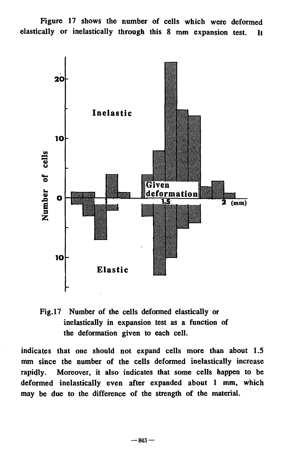**Figure 17 shows the number of cells which were deformed elastically or inelastically through this 8 mm expansion test. It** 



**Fig. 17 Number of the cells deformed elastically or inelastically in expansion test as a function of the deformation given to each cell.** 

**indicates that one should not expand cells more than about 1.5 mm since the number of the cells deformed inelastically increase rapidly. Moreover, it also indicates that some cells happen to be deformed inelastically even after expanded about 1 mm, which may be due to the difference of the strength of the material.**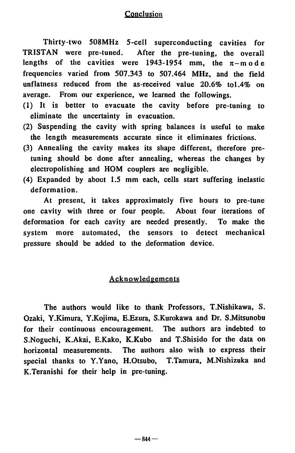# **Conclusion**

Thirty-two 508MHz 5-cell superconducting cavities for TRISTAN were pre-tuned. After the pre-tuning, the overall lengths of the cavities were 1943-1954 mm, the  $\pi$ -mode frequencies varied from 507.343 to 507.464 MHz, and the field unflatness reduced from the as-received value 20.6% tol.4% on average. From our experience, we learned the followings.

- (1) It is better to evacuate the cavity before pre-tuning to eliminate the uncertainty in evacuation.
- (2) Suspending the cavity with spring balances is useful to make the length measurements accurate since it eliminates frictions.
- (3) Annealing the cavity makes its shape different, therefore pretuning should be done after annealing, whereas the changes by electropolishing and HOM couplers are negligible.
- (4) Expanded by about 1.5 mm each, cells start suffering inelastic deformation.

At present, it takes approximately five hours to pre-tune one cavity with three or four people. About four iterations of deformation for each cavity are needed presently. To make the system more automated, the sensors to detect mechanical pressure should be added to the deformation device.

## Acknowledgements

The authors would like to thank Professors, T.Nishikawa, S. Ozaki, Y.Kimura, Y.Kojima, E.Ezura, S.Kurokawa and Dr. S.Mitsunobu for their continuous encouragement. The authors are indebted to S.Noguchi, K.Akai, E.Kako, K.Kubo and T.Shisido for the data on horizontal measurements. The authors also wish to express their special thanks to Y.Yano, H.Otsubo, T.Tamura, M.Nishizuka and K.Teranishi for their help in pre-tuning.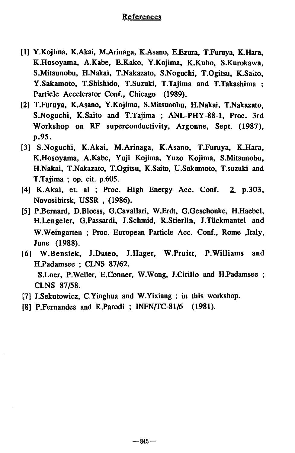## References

- [1] Y.Kojima, K.Akai, M.Arinaga, K.Asano, E.Ezura, T.Furuya, K.Hara, K.Hosoyama, A.Kabe, E.Kako, Y.Kojima, K.Kubo, S.Kurokawa, S.Mitsunobu, H.Nakai, T.Nakazato, S.Noguchi, T.Ogitsu, K.Saito, Y.Sakamoto, T.Shishido, T.Suzuki, T.Tajima and T.Takashima ; Particle Accelerator Conf., Chicago (1989).
- [2] T.Furuya, K.Asano, Y.Kojima, S.Mitsunobu, H.Nakai, T.Nakazato, S.Noguchi, K.Saito and T.Tajima ; ANL-PHY-88-1, Proc. 3rd Workshop on RF superconductivity, Argonne, Sept. (1987), p.95.
- [3] S.Noguchi, K.Akai, M.Arinaga, K.Asano, T.Furuya, K.Hara, K.Hosoyama, A.Kabe, Yuji Kojima, Yuzo Kojima, S.Mitsunobu, H.Nakai, T.Nakazato, T.Ogitsu, K.Saito, U.Sakamoto, T.suzuki and T.Tajima ; op. cit. p.605.
- [4] K.Akai, et. al ; Proc. High Energy Acc. Conf. 2 p.303, Novosibirsk, USSR , (1986).
- [5] P.Bernard, D.Bloess, G.Cavallari, W.Erdt, G.Geschonke, H.Haebel, H.Lengeler, G.Passardi, J.Schmid, R.Stierlin, J.Tückmantel and W.Weingarten ; Proc. European Particle Acc. Conf., Rome , Italy, June (1988).
- [6] W.Bensiek, J.Dateo, J.Hager, W.Pruitt, P.Williams and H.Padamsee ; CLNS 87/62. S.Loer, P.Weller, E.Conner, W.Wong, J.Cirillo and H.Padamsee ;
	- CLNS 87/58.
- [7] J.Sekutowicz, C.Yinghua and W.Yixiang ; in this workshop.
- [8] P.Fernandes and R.Parodi ; INFN/TC-81/6 (1981).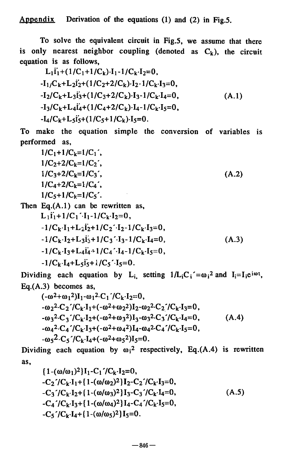Appendix Derivation of the equations (1) and (2) in Fig.5.

To solve the equivalent circuit in Fig.5, we assume that there is only nearest neighbor coupling (denoted as  $C_k$ ), the circuit equation is as follows,

$$
L_1\ddot{i}_1 + (1/C_1 + 1/C_k) \cdot I_1 - 1/C_k \cdot I_2 = 0,
$$
  
\n
$$
-I_1/C_k + L_2\ddot{i}_2 + (1/C_2 + 2/C_k) \cdot I_2 - 1/C_k \cdot I_3 = 0,
$$
  
\n
$$
-I_2/C_k + L_3\ddot{i}_3 + (1/C_3 + 2/C_k) \cdot I_3 - 1/C_k \cdot I_4 = 0,
$$
  
\n
$$
-I_3/C_k + L_4\ddot{i}_4 + (1/C_4 + 2/C_k) \cdot I_4 - 1/C_k \cdot I_5 = 0,
$$
  
\n
$$
-I_4/C_k + L_5\ddot{i}_5 + (1/C_5 + 1/C_k) \cdot I_5 = 0.
$$
  
\n(A.1)

To make the equation simple the conversion of variables is performed as,

$$
1/C_1+1/C_k=1/C_1',
$$
  
\n
$$
1/C_2+2/C_k=1/C_2',
$$
  
\n
$$
1/C_3+2/C_k=1/C_3',
$$
  
\n
$$
1/C_4+2/C_k=1/C_4',
$$
  
\n
$$
1/C_5+1/C_k=1/C_5'.
$$
  
\n(A.2)

Then  $Eq.(A.1)$  can be rewritten as,  $L_1$ i<sup>'</sup><sub>1</sub>+1/C<sub>1</sub><sup>'</sup>·I<sub>1</sub>-1/C<sub>k</sub>·I<sub>2</sub>=0,  $-1/C_k \cdot I_1+L_2\dot{I}_2+1/C_2\dot{I}_2-1/C_k\cdot I_3=0,$  $-1/C_k \cdot I_2 + L_3 I_3 + 1/C_3 \cdot I_3 - 1/C_k \cdot I_4 = 0,$  (A.3)  $-1/C_k \cdot I_3 + L_4 I_4 + 1/C_4 \cdot I_4 - 1/C_k \cdot I_5 = 0$ ,  $-1/C_k \cdot I_4 + L_5 i_5 + 1/C_5 \cdot I_5 = 0.$ 

Dividing each equation by  $L_i$ , setting  $1/L_iC_i' = \omega_i^2$  and  $I_i = I_i e^{i\omega t}$ , Eq.(A.3) becomes as,

$$
(-\omega^{2}+\omega_{1}^{2})I_{1}-\omega_{1}^{2}\cdot C_{1}/C_{k}\cdot I_{2}=0,
$$
\n
$$
-\omega_{2}^{2}\cdot C_{2}/C_{k}\cdot I_{1}+(-\omega^{2}+\omega_{2}^{2})I_{2}-\omega_{2}^{2}\cdot C_{2}/C_{k}\cdot I_{3}=0,
$$
\n
$$
-\omega_{3}^{2}\cdot C_{3}/C_{k}\cdot I_{2}+(-\omega^{2}+\omega_{3}^{2})I_{3}-\omega_{3}^{2}\cdot C_{3}/C_{k}\cdot I_{4}=0,
$$
\n
$$
-\omega_{4}^{2}\cdot C_{4}/C_{k}\cdot I_{3}+(-\omega^{2}+\omega_{4}^{2})I_{4}-\omega_{4}^{2}\cdot C_{4}/C_{k}\cdot I_{5}=0,
$$
\n
$$
-\omega_{5}^{2}\cdot C_{5}/C_{k}\cdot I_{4}+(-\omega^{2}+\omega_{5}^{2})I_{5}=0.
$$
\n(A.4)

Dividing each equation by  $\omega_1^2$  respectively, Eq.(A.4) is rewritten as,

$$
\{1-(\omega/\omega_1)^2\}I_1-C_1'/C_k \cdot I_2=0,
$$
  
\n-C\_2'/C\_k \cdot I\_1 + \{1-(\omega/\omega\_2)^2\}I\_2-C\_2'/C\_k \cdot I\_3=0,  
\n-C\_3'/C\_k \cdot I\_2 + \{1-(\omega/\omega\_3)^2\}I\_3-C\_3'/C\_k \cdot I\_4=0,  
\n-C\_4'/C\_k \cdot I\_3 + \{1-(\omega/\omega\_4)^2\}I\_4-C\_4'/C\_k \cdot I\_5=0,  
\n-C\_5'/C\_k \cdot I\_4 + \{1-(\omega/\omega\_5)^2\}I\_5=0.\n(A.5)